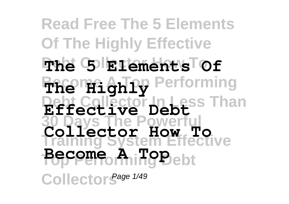#### **Read Free The 5 Elements Of The Highly Effective Debt Collector How To The 5 Elements Of BReming** Performing **Debt Collector In Less Than Effective Debt 30 Days The Powerful Training System Effective Top Performing Debt Become A Top** CollectorS<sup>age 1/49</sup> **Collector How To**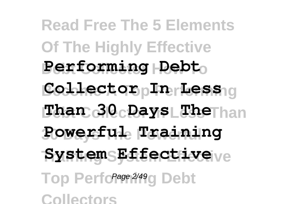**Read Free The 5 Elements Of The Highly Effective Performing Debto**  $\text{Coker}$ tor <sub>p</sub>In Lessig  $\textbf{Than } 30 \textbf{c}$  **Days Liber** han **30 Days The Powerful Powerful Training Training System Effective System Effective** Top Perfor<sup>age 2/49</sup>g Debt **Collectors**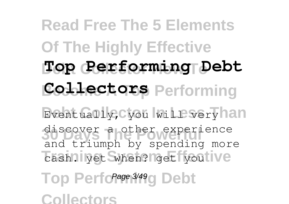**Read Free The 5 Elements Of The Highly Effective Debt Collector How To Top Performing Debt Collectors** Performing Eventually, Cyou will very han discover a other experience cash. lyet when? get you ive Top Perfor<sup>age 3/49</sup>g Debt **Collectors** and triumph by spending more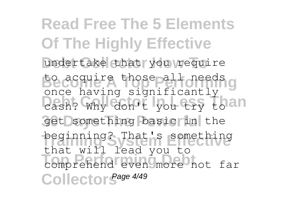**Read Free The 5 Elements Of The Highly Effective** undertake that you require Becomire those all needs g cash? Why don't you try to an get something basic in the beginning? That's something **Top Performing Debt** comprehend even more not far Collector<sup>Sage 4/49</sup> once having significantly that will lead you to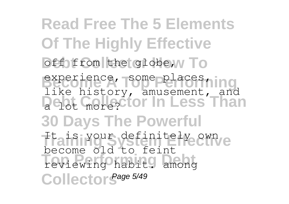**Read Free The 5 Elements Of The Highly Effective** off from the globe, w To experience, some places, ing **Debt Collector In Less Than 30 Days The Powerful** Trais Your definitely own **Top Performing Debt** reviewing habit. among Collector<sup>Sage 5/49</sup> like history, amusement, and become old to feint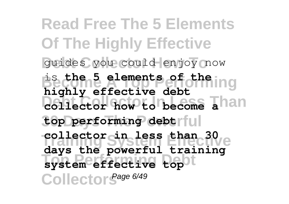**Read Free The 5 Elements Of The Highly Effective** guides you could enjoy now **Become A Top Performing** is **the 5 elements of the Collector how to become Than 30 Days The Powerful top performing debt Training System Effective collector in less than 30 Top Performing Debt system effective top** CollectorS<sup>age 6/49</sup> **highly effective debt days the powerful training**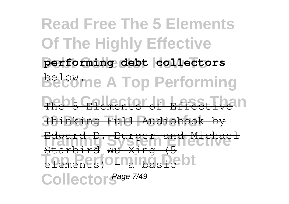**Read Free The 5 Elements Of The Highly Effective** performing debt collectors **Belowme A Top Performing** The 5 Elements of Effective n **30 Days The Powerful** Thinking Full Audiobook by Edward B. System and Michael **Top Performance** Collector<sup>Sage 7/49</sup> Starbird Wu Xing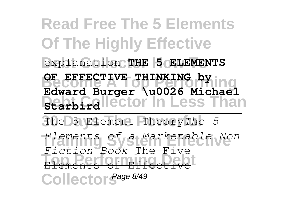# **Read Free The 5 Elements Of The Highly Effective Debt Collector How To** explanation **THE 5 ELEMENTS**

**OF EFFECTIVE THINKING by**<br> **OF COMPLISHING BearbGallector In Less Than Edward Burger \u0026 Michael**

**30 Days The Powerful** The 5 Element Theory*The 5* **Training System Effective** *Elements of a Marketable Non-***Top Performing Debt** Elements of Effective CollectorS<sup>age 8/49</sup> *Fiction Book* The Five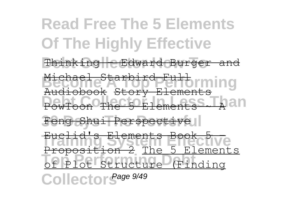**Read Free The 5 Elements Of The Highly Effective** Thinking eEdward Burger and <del>Michael Starbird-Full</del><br>Become A Tory Elements<br>Audiobook Story Elements **PowToon The 5 Elements A** an Feng Shui Perspective **Training System Effective** Proposition 2 The 5 Elements **Top Performing Debt** of Plot Structure (Finding CollectorS<sup>age 9/49</sup> Michael Starbird Full Euclid's Elements Book 5 -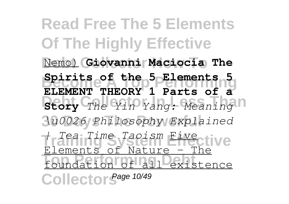**Read Free The 5 Elements Of The Highly Effective Debt Collector How To** Nemo) **Giovanni Maciocia The Become A Top Performing Spirits of the 5 Elements 5 Biory** *The Yin Yang: Meaning*  $\Box$ **30 Days The Powerful** *\u0026 Philosophy Explained* **Training System Effective** *| Tea Time Taoism* Five **The Performing Code**<br>The Of All Cariste Collector<sup>Sage 10/49</sup> **ELEMENT THEORY 1 Parts of a**  $E$  lements of Nature  $$ existence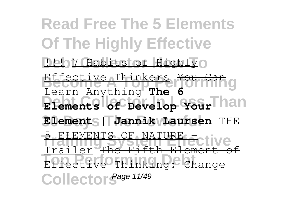**Read Free The 5 Elements Of The Highly Effective Deb7 Habits of Highlyo Effective Thinkers You Can**g **Elements of Develop YourThan**  $\blacksquare$  **Elements | Jannik VLaursen** THE 5 ELEMENTS OF NATURE - ctive **Top Performing Debt** Effective Thinking: Change Collector<sup>Sage 11/49</sup> Learn Anything **The 6** Trailer <del>The Fifth El</del>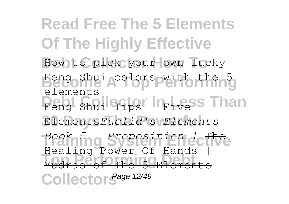**Read Free The 5 Elements Of The Highly Effective** How to pick your own lucky Bergoshui Acolors pwith the ng **Peng Shui Tips - Five S Than 30 Days The Powerful** Elements*Euclid's Elements* **Training System Effective** *Book 5 - Proposition 1* The **Top Performing Debt** Mudras of The 5 Elements Collector<sup>Sage 12/49</sup> elements Healing Power Of Hands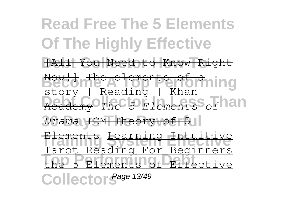**Read Free The 5 Elements Of The Highly Effective Debt Collector How To** [All You Need to Know Right Become A tements of a ming **Debtary** *The 5 Elements* of 1211  $Drama$  TCM Theory of 5 **Training System Effective** Elements Learning Intuitive **Top Performing Debt** the 5 Elements of Effective Collector<sup>Sage 13/49</sup> story | Reading | Khan Tarot Reading For Beginners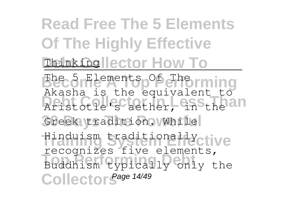# **Read Free The 5 Elements Of The Highly Effective Thinking ector How To**

**Become Hements of Therming** Aristotle's aether, in the an Greek tradition. While **Training System Effective** Hinduism traditionally **Top Performing Debt** Buddhism typically only the Collector<sup>Sage 14/49</sup> Akasha is the equivalent to recognizes five elements,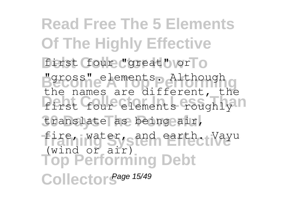**Read Free The 5 Elements Of The Highly Effective** first (four "great" or To **Become A Top Performing** "gross" elements. Although first four elements roughly n translate as being air, fire, water, sand earth. Wayu **Top Performing Debt** Collector<sup>Sage 15/49</sup> the names are different, the (wind or air)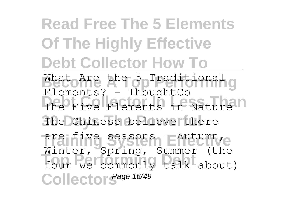# **Read Free The 5 Elements Of The Highly Effective Debt Collector How To**

What Are the 5 Traditional g The Five Elements in Nature n **30 Days The Powerful** The Chinese believe there are five seasons EAutumn, e four we commonly talk about) Collector<sup>Sage 16/49</sup> Elements? - ThoughtCo Winter, Spring, Summer (the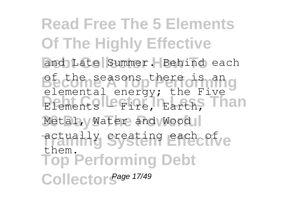**Read Free The 5 Elements Of The Highly Effective** and Late Summer. Behind each Become as ons there disnang Elements **Principal Parth**, Than Metal, Water and Wood actually sreating each of ve **Top Performing Debt** Collector<sup>Sage 17/49</sup> elemental energy; the Five them.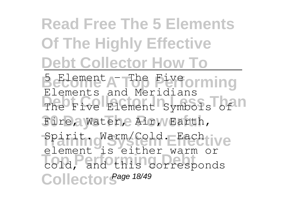# **Read Free The 5 Elements Of The Highly Effective Debt Collector How To**

**Becoment A The Five orming** The Five Element Symbols of n Fire, Water, Air, Wearth, Spiritng arm/Cold. EFachtive **Top Performing Debt** cold, and this corresponds Collector<sup>Sage 18/49</sup> Elements and Meridians element is either warm or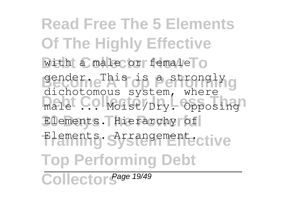**Read Free The 5 Elements Of The Highly Effective** with a male or female o gender. This is a strongly g male ... Moist/Dry. Opposing Elements. Hierarchy of Elements. **Arrangement Top Performing Debt** dichotomous system, where

Collector Sage 19/49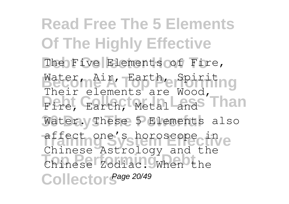**Read Free The 5 Elements Of The Highly Effective** The Five Elements of Fire, Water, Air, Earth, Spiriting **Pire, Earth, Metal and Than** Water. These 5 Elements also affect one's horoscope in **Top Performing Debt** Chinese Zodiac. When the Collector<sup>Sage 20/49</sup> Their elements are Wood, Chinese Astrology and the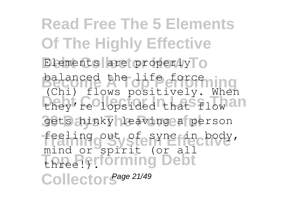**Read Free The 5 Elements Of The Highly Effective** Elements are properly<sup>T</sup>o balanced the life force ing they're lopsided that flow an gets hinky leaving a person feeling out of sync in body, **Top Performing Debt** Collector<sup>Sage 21/49</sup> (Chi) flows positively. When mind or spirit (or all three!).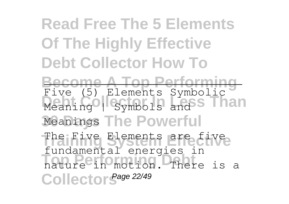### **Read Free The 5 Elements Of The Highly Effective Debt Collector How To**

**Become A Top Performing** Meaning Symbols and S<sup>Than</sup> Meanings The Powerful Five (5) Elements Symbolic

The Five Elements are five **Top Performing Debt** nature in motion. There is a Collector<sup>Sage 22/49</sup> fundamental energies in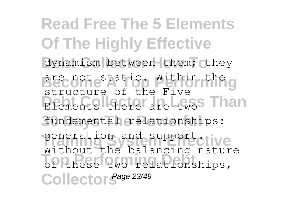**Read Free The 5 Elements Of The Highly Effective** dynamism between them; they **Become staticp Within the g** Elements there are two Than fundamental relationships: generation and support.tive **Top Performing Debt** of these two relationships, Collector<sup>Sage 23/49</sup> structure of the Five Without the balancing nature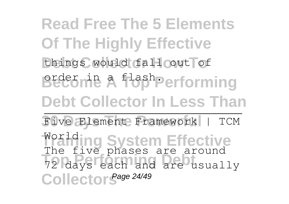**Read Free The 5 Elements Of The Highly Effective** things would fall out of Become A flashPerforming **Debt Collector In Less Than 30 Days The Powerful** Five Element Framework | TCM **Training System Effective** The **Trive phases** are an Collector<sup>Sage 24/49</sup> World The five phases are around 72 days each and are usually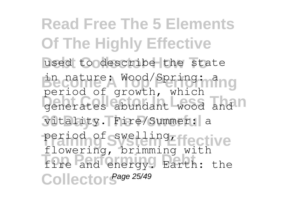**Read Free The 5 Elements Of The Highly Effective** used to describe the state **Become A Wood/Spring: ming** generates abundant wood and n vitality. Fire/Summer: a period of swelling ffective **Top Performing Debt** fire and energy. Earth: the Collector<sup>Sage 25/49</sup> period of growth, which flowering, brimming with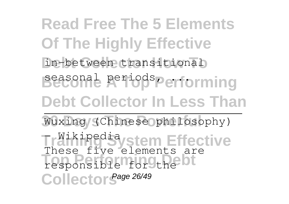**Read Free The 5 Elements Of The Highly Effective** in-between transitional Beesonal periods Performing **Debt Collector In Less Than** Wuxing (Chinese philosophy) **Träikingdia stem Effective** These Partie Crements of Collector<sup>Sage 26/49</sup> These five elements are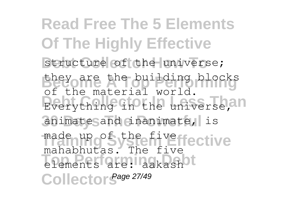**Read Free The 5 Elements Of The Highly Effective** structure of the universe; they are the building blocks Everything in the universe, 20 animate sand inanimate, is made up of the fiveffective **Top Performing Debt** elements are: aakash Collector<sup>Sage 27/49</sup> of the material world. mahabhutas. The five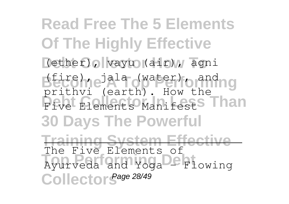**Read Free The 5 Elements Of The Highly Effective Debt Collector How To** (ether), vayu (air), agni **Become ala (water)** o and ng **Pive Elements Manifests Than 30 Days The Powerful Training System Effective** Ayurveda and Yoga<sup>DC</sup> Flowing Collector<sup>Sage 28/49</sup> prithvi (earth). How the The Five Elements of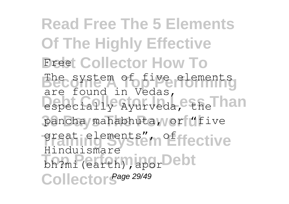**Read Free The 5 Elements Of The Highly Effective** *<u>Breet</u>* Collector How To The system of five elements especially Ayurveda, the Than pancha mahabhuta, or "five great is lements" in effective **Thursdamen** Collector<sup>Sage 29/49</sup> are found in Vedas, Hinduismare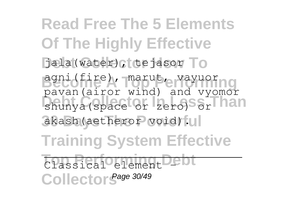**Read Free The 5 Elements Of The Highly Effective** Jala(water), tejasor To **Become A Top Performing** agni(fire), marut, vayuor shunya (space or zero) Sor han akash(aetheror void). **Training System Effective** Classical element - Dt Collector<sup>Sage 30/49</sup> pavan(airor wind) and vyomor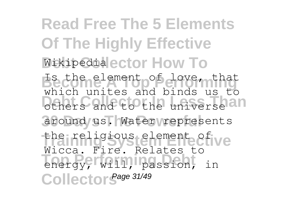**Read Free The 5 Elements Of The Highly Effective Wikipedia ector How To** Is the element of love, that others and to the universe an around us. Water represents the religious element of ive **Top Performing Debt** energy, will, passion, in Collector<sup>Sage 31/49</sup> which unites and binds us to Wicca. Fire. Relates to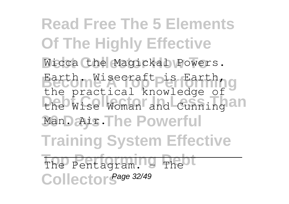**Read Free The 5 Elements Of The Highly Effective Wicca the Magickal Powers.** Earth. Wisecraft pis Earth, g the Wise Woman and Cunning an Man. Air. The Powerful **Training System Effective** The Pentagram. - The Collector<sup>Sage 32/49</sup> the practical knowledge of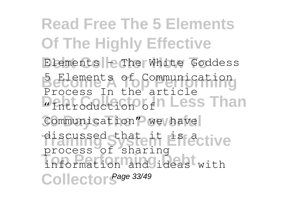**Read Free The 5 Elements Of The Highly Effective Elements - The White Goddess Becommunication Debt Collection** of **Plans Collection** of **Plans** Communication" we have discussed that it **Effective Top Performing Debt** information and ideas with Collector<sup>Sage 33/49</sup> Process In the article process of sharing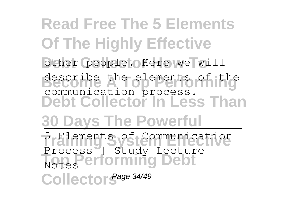**Read Free The 5 Elements Of The Highly Effective** other people. Here we will **Bescribe** the elements of the **Debt Collector In Less Than 30 Days The Powerful** 5 Elements of Communication **Top Performing Debt** Collector<sup>Sage 34/49</sup> describe the elements of the communication process. Process | Study Lecture Notes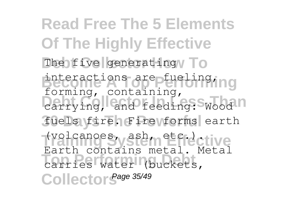**Read Free The 5 Elements Of The Highly Effective** The five generating **To** interactions are fuelinging carrying, and feeding: Wood n fuels fire. Fire *forms* earth **Training System Effective** (volcanoes, ash, etc.). **Top Performing Debt** carries water (buckets, Collector<sup>Sage 35/49</sup> forming, containing, Earth contains metal. Metal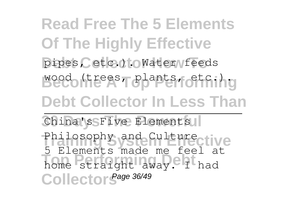**Read Free The 5 Elements Of The Highly Effective** pipes, etc.) : OWater feeds Becco (trees, plants, etc.). **Debt Collector In Less Than** China's Five Elements Philosophy and Culturective **Top Performing Debt** home straight away. I had 5 Elements made me feel at

Collector<sup>Sage 36/49</sup>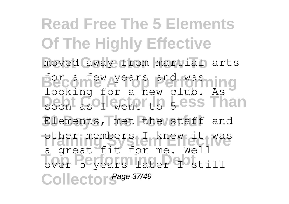**Read Free The 5 Elements Of The Highly Effective** moved away from martial arts for a few years and washing **Debt Collector** Less Than Elements, met the staff and other members I knew it was Top Performance Persons Collector<sup>Sage 37/49</sup> looking for a new club. As a great fit for me. Well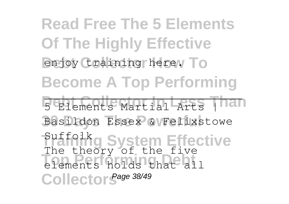**Read Free The 5 Elements Of The Highly Effective** enjoy training here. To **Become A Top Performing** 5 Elements Martial Arts Than Basildon Essex & Felixstowe **Suffolkg System Effective Top Performing Debt** elements holds that all Collector<sup>Sage 38/49</sup> The theory of the five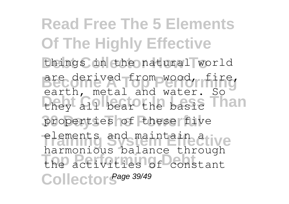**Read Free The 5 Elements Of The Highly Effective** things in the natural world are derived from wood, fire, they all bear the basic Than properties of these five elements and maintain ative **Top Performing Debt** the activities of constant Collector<sup>Sage 39/49</sup> earth, metal and water. So harmonious balance through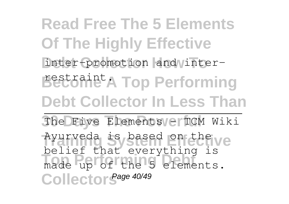**Read Free The 5 Elements Of The Highly Effective** inter-promotion and inter-Bectonie<sup>t</sup> A Top Performing **Debt Collector In Less Than** The Five Elements / el TCM Wiki Ayurveda is based **on the ve The Person Performed** Collector<sup>Sage 40/49</sup> belief that everything is made up of the 5 elements.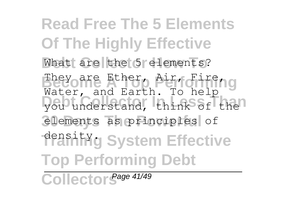**Read Free The 5 Elements Of The Highly Effective** What are the 5 elements? They are Ether, Air, Fire, g you understand, think of the<sup>1</sup> elements as principles of **Praining System Effective Top Performing Debt** Water, and Earth. To help

Collector Sage 41/49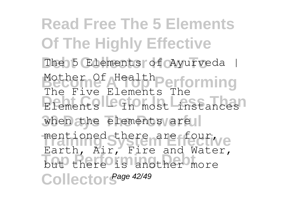**Read Free The 5 Elements Of The Highly Effective** The 5 Elements of Ayurveda | Mother Of Health Performing Elements – In most instances when the elements are mentioned there are four we but there is another more Collector<sup>Sage 42/49</sup> The Five Elements The Earth, Air, Fire and Water,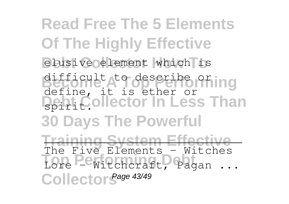**Read Free The 5 Elements Of The Highly Effective** elusive element which is **Become A Top describe or ing Debt Collector In Less Than 30 Days The Powerful Training System Effective The Performance Debt**<br>
Lore - Witchcraft, Pagan ... Collector<sup>Sage 43/49</sup> difficult to describe or define, it is ether or spirit. The Five Elements - Witches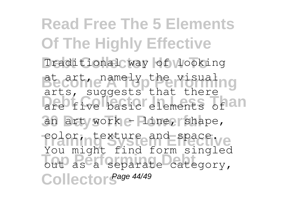**Read Free The 5 Elements Of The Highly Effective** Traditional way of looking Become <sup>namely other visualng</sup> are five basic elements of an an art worke **Pine, shape**, color, texture and space. out as a separate category, Collector<sup>Sage 44/49</sup> arts, suggests that there You might find form singled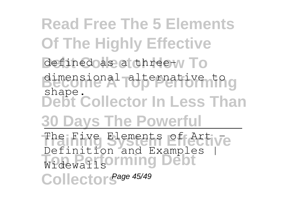**Read Free The 5 Elements Of The Highly Effective** defined as a three-w To **Become A Top Performing** dimensional alternative to **Debt Collector In Less Than 30 Days The Powerful** The Five Elements of Artive Widewallsorming Debt Collector<sup>Sage 45/49</sup> shape. Definition and Examples |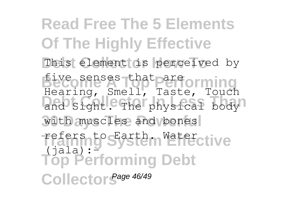**Read Free The 5 Elements Of The Highly Effective** This element is perceived by five senses that pare orming and Sight. The physical body<sup>1</sup> with muscles and bones refers to Earth mater ctive **Top Performing Debt** Collector<sup>Sage 46/49</sup> Hearing, Smell, Taste, Touch  $(jala):$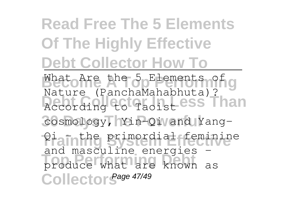# **Read Free The 5 Elements Of The Highly Effective Debt Collector How To**

What Are the 5 Elements of g Recording to Taoist ess Than cosmology, Yin-Qi and Yang-Piainthe **Brimordial feminine Top Performing Debt** produce what are known as Collector<sup>Sage 47/49</sup> Nature (PanchaMahabhuta)? and masculine energies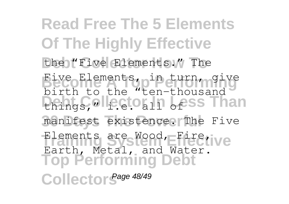**Read Free The 5 Elements Of The Highly Effective** the "Five Elements." The **Become A Top Performing** Five Elements, in turn, give **Debt Collector** In Less Than manifest existence. The Five Elements are Wood, Firetive **Top Performing Debt** Collector<sup>Sage 48/49</sup> birth to the "ten-thousand Earth, Metal, and Water.